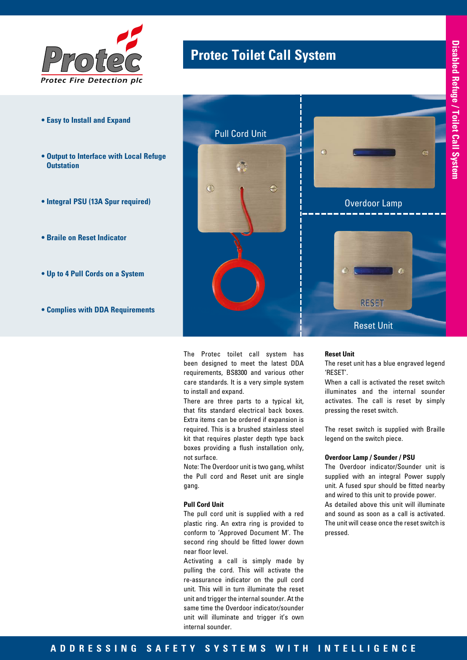

- **Easy to Install and Expand**
- **Output to Interface with Local Refuge Outstation**
- **Integral PSU (13A Spur required)**
- **Braile on Reset Indicator**
- **Up to 4 Pull Cords on a System**
- **Complies with DDA Requirements**

# **Protec Toilet Call System** *Protec*



The Protec toilet call system has been designed to meet the latest DDA requirements, BS8300 and various other care standards. It is a very simple system to install and expand.

There are three parts to a typical kit, that fits standard electrical back boxes. Extra items can be ordered if expansion is required. This is a brushed stainless steel kit that requires plaster depth type back boxes providing a flush installation only, not surface.

Note: The Overdoor unit is two gang, whilst the Pull cord and Reset unit are single gang.

#### **Pull Cord Unit**

The pull cord unit is supplied with a red plastic ring. An extra ring is provided to conform to 'Approved Document M'. The second ring should be fitted lower down near floor level.

Activating a call is simply made by pulling the cord. This will activate the re-assurance indicator on the pull cord unit. This will in turn illuminate the reset unit and trigger the internal sounder. At the same time the Overdoor indicator/sounder unit will illuminate and trigger it's own internal sounder.

#### **Reset Unit**

The reset unit has a blue engraved legend 'RESET'.

When a call is activated the reset switch illuminates and the internal sounder activates. The call is reset by simply pressing the reset switch.

The reset switch is supplied with Braille legend on the switch piece.

### **Overdoor Lamp / Sounder / PSU**

The Overdoor indicator/Sounder unit is supplied with an integral Power supply unit. A fused spur should be fitted nearby and wired to this unit to provide power. As detailed above this unit will illuminate and sound as soon as a call is activated. The unit will cease once the reset switch is pressed.